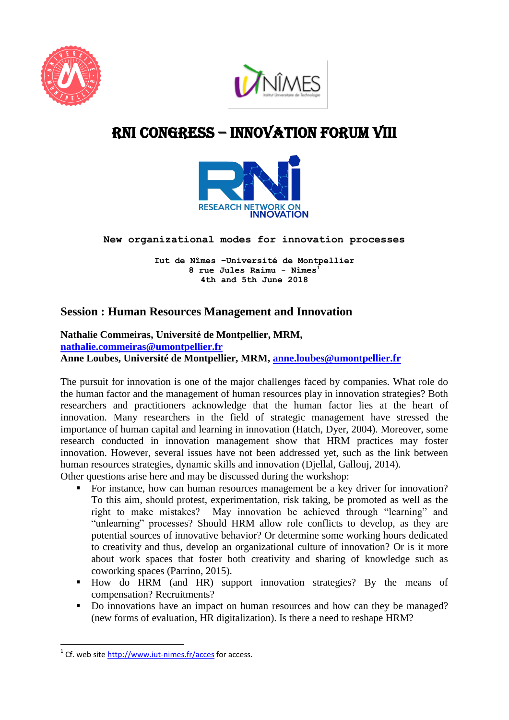



# RNI cONGRESS – innovation Forum VIII



**New organizational modes for innovation processes** 

**Iut de Nîmes –Université de Montpellier 8 rue Jules Raimu - Nîmes<sup>1</sup> 4th and 5th June 2018**

## **Session : Human Resources Management and Innovation**

**Nathalie Commeiras, Université de Montpellier, MRM, [nathalie.commeiras@umontpellier.fr](mailto:nathalie.commeiras@umontpellier.fr) Anne Loubes, Université de Montpellier, MRM, [anne.loubes@umontpellier.fr](mailto:anne.loubes@umontpellier.fr)**

The pursuit for innovation is one of the major challenges faced by companies. What role do the human factor and the management of human resources play in innovation strategies? Both researchers and practitioners acknowledge that the human factor lies at the heart of innovation. Many researchers in the field of strategic management have stressed the importance of human capital and learning in innovation (Hatch, Dyer, 2004). Moreover, some research conducted in innovation management show that HRM practices may foster innovation. However, several issues have not been addressed yet, such as the link between human resources strategies, dynamic skills and innovation (Djellal, Gallouj, 2014). Other questions arise here and may be discussed during the workshop:

- For instance, how can human resources management be a key driver for innovation? To this aim, should protest, experimentation, risk taking, be promoted as well as the right to make mistakes? May innovation be achieved through "learning" and "unlearning" processes? Should HRM allow role conflicts to develop, as they are potential sources of innovative behavior? Or determine some working hours dedicated to creativity and thus, develop an organizational culture of innovation? Or is it more about work spaces that foster both creativity and sharing of knowledge such as coworking spaces (Parrino, 2015).
- How do HRM (and HR) support innovation strategies? By the means of compensation? Recruitments?
- Do innovations have an impact on human resources and how can they be managed? (new forms of evaluation, HR digitalization). Is there a need to reshape HRM?

 1 Cf. web site<http://www.iut-nimes.fr/acces> for access.